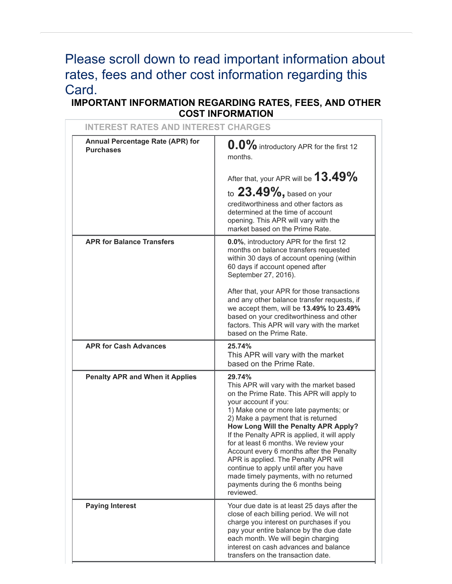# Please scroll down to read important information about rates, fees and other cost information regarding this Card.

# **IMPORTANT INFORMATION REGARDING RATES, FEES, AND OTHER COST INFORMATION**

| <b>INTEREST RATES AND INTEREST CHARGES</b>           |                                                                                                                                                                                                                                                                                                                                                                                                                                                                                                                                                                    |
|------------------------------------------------------|--------------------------------------------------------------------------------------------------------------------------------------------------------------------------------------------------------------------------------------------------------------------------------------------------------------------------------------------------------------------------------------------------------------------------------------------------------------------------------------------------------------------------------------------------------------------|
| Annual Percentage Rate (APR) for<br><b>Purchases</b> | $0.0\%$ introductory APR for the first 12<br>months.                                                                                                                                                                                                                                                                                                                                                                                                                                                                                                               |
|                                                      | After that, your APR will be $13.49\%$                                                                                                                                                                                                                                                                                                                                                                                                                                                                                                                             |
|                                                      | to $23.49\%$ , based on your<br>creditworthiness and other factors as<br>determined at the time of account<br>opening. This APR will vary with the<br>market based on the Prime Rate.                                                                                                                                                                                                                                                                                                                                                                              |
| <b>APR for Balance Transfers</b>                     | 0.0%, introductory APR for the first 12<br>months on balance transfers requested<br>within 30 days of account opening (within<br>60 days if account opened after<br>September 27, 2016).                                                                                                                                                                                                                                                                                                                                                                           |
|                                                      | After that, your APR for those transactions<br>and any other balance transfer requests, if<br>we accept them, will be 13.49% to 23.49%<br>based on your creditworthiness and other<br>factors. This APR will vary with the market<br>based on the Prime Rate.                                                                                                                                                                                                                                                                                                      |
| <b>APR for Cash Advances</b>                         | 25.74%<br>This APR will vary with the market<br>based on the Prime Rate.                                                                                                                                                                                                                                                                                                                                                                                                                                                                                           |
| <b>Penalty APR and When it Applies</b>               | 29.74%<br>This APR will vary with the market based<br>on the Prime Rate. This APR will apply to<br>your account if you:<br>1) Make one or more late payments; or<br>2) Make a payment that is returned<br>How Long Will the Penalty APR Apply?<br>If the Penalty APR is applied, it will apply<br>for at least 6 months. We review your<br>Account every 6 months after the Penalty<br>APR is applied. The Penalty APR will<br>continue to apply until after you have<br>made timely payments, with no returned<br>payments during the 6 months being<br>reviewed. |
| <b>Paying Interest</b>                               | Your due date is at least 25 days after the<br>close of each billing period. We will not<br>charge you interest on purchases if you<br>pay your entire balance by the due date<br>each month. We will begin charging<br>interest on cash advances and balance<br>transfers on the transaction date.                                                                                                                                                                                                                                                                |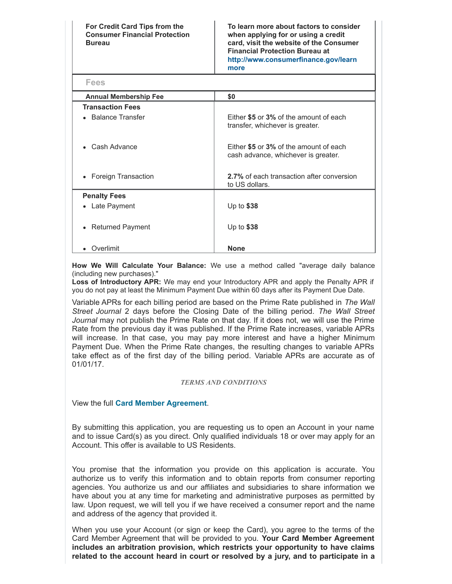**For Credit Card Tips from the Consumer Financial Protection Bureau**

**To learn more about factors to consider when applying for or using a credit card, visit the website of the Consumer Financial Protection Bureau at [http://www.consumerfinance.gov/learn](http://www.consumerfinance.gov/learnmore) more**

| <b>Fees</b>                  |                                                                               |
|------------------------------|-------------------------------------------------------------------------------|
| <b>Annual Membership Fee</b> | \$0                                                                           |
| <b>Transaction Fees</b>      |                                                                               |
| • Balance Transfer           | Either \$5 or 3% of the amount of each<br>transfer, whichever is greater.     |
| • Cash Advance               | Either \$5 or 3% of the amount of each<br>cash advance, whichever is greater. |
| • Foreign Transaction        | 2.7% of each transaction after conversion<br>to US dollars.                   |
| <b>Penalty Fees</b>          |                                                                               |
| • Late Payment               | Up to $$38$                                                                   |
| <b>Returned Payment</b>      | Up to \$38                                                                    |
| Overlimit                    | <b>None</b>                                                                   |

**How We Will Calculate Your Balance:** We use a method called "average daily balance (including new purchases)."

**Loss of Introductory APR:** We may end your Introductory APR and apply the Penalty APR if you do not pay at least the Minimum Payment Due within 60 days after its Payment Due Date.

Variable APRs for each billing period are based on the Prime Rate published in *The Wall Street Journal* 2 days before the Closing Date of the billing period. *The Wall Street Journal* may not publish the Prime Rate on that day. If it does not, we will use the Prime Rate from the previous day it was published. If the Prime Rate increases, variable APRs will increase. In that case, you may pay more interest and have a higher Minimum Payment Due. When the Prime Rate changes, the resulting changes to variable APRs take effect as of the first day of the billing period. Variable APRs are accurate as of 01/01/17.

#### *TERMS AND CONDITIONS*

View the full **Card Member [Agreement](https://www.americanexpress.com/us/content/cardmember-agreements/all-us.html)**.

By submitting this application, you are requesting us to open an Account in your name and to issue Card(s) as you direct. Only qualified individuals 18 or over may apply for an Account. This offer is available to US Residents.

You promise that the information you provide on this application is accurate. You authorize us to verify this information and to obtain reports from consumer reporting agencies. You authorize us and our affiliates and subsidiaries to share information we have about you at any time for marketing and administrative purposes as permitted by law. Upon request, we will tell you if we have received a consumer report and the name and address of the agency that provided it.

When you use your Account (or sign or keep the Card), you agree to the terms of the Card Member Agreement that will be provided to you. **Your Card Member Agreement includes an arbitration provision, which restricts your opportunity to have claims related to the account heard in court or resolved by a jury, and to participate in a**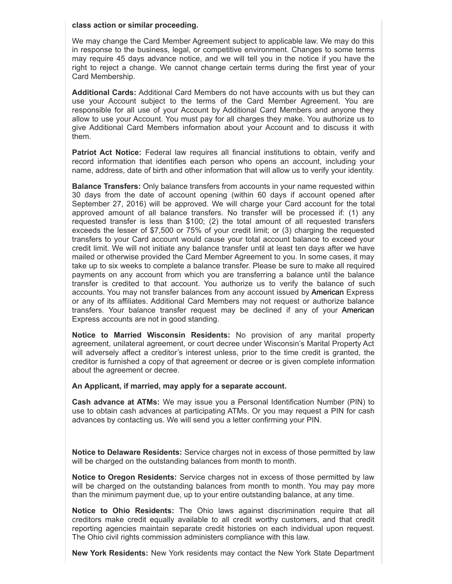#### **class action or similar proceeding.**

We may change the Card Member Agreement subject to applicable law. We may do this in response to the business, legal, or competitive environment. Changes to some terms may require 45 days advance notice, and we will tell you in the notice if you have the right to reject a change. We cannot change certain terms during the first year of your Card Membership.

**Additional Cards:** Additional Card Members do not have accounts with us but they can use your Account subject to the terms of the Card Member Agreement. You are responsible for all use of your Account by Additional Card Members and anyone they allow to use your Account. You must pay for all charges they make. You authorize us to give Additional Card Members information about your Account and to discuss it with them.

**Patriot Act Notice:** Federal law requires all financial institutions to obtain, verify and record information that identifies each person who opens an account, including your name, address, date of birth and other information that will allow us to verify your identity.

**Balance Transfers:** Only balance transfers from accounts in your name requested within 30 days from the date of account opening (within 60 days if account opened after September 27, 2016) will be approved. We will charge your Card account for the total approved amount of all balance transfers. No transfer will be processed if: (1) any requested transfer is less than \$100; (2) the total amount of all requested transfers exceeds the lesser of \$7,500 or 75% of your credit limit; or (3) charging the requested transfers to your Card account would cause your total account balance to exceed your credit limit. We will not initiate any balance transfer until at least ten days after we have mailed or otherwise provided the Card Member Agreement to you. In some cases, it may take up to six weeks to complete a balance transfer. Please be sure to make all required payments on any account from which you are transferring a balance until the balance transfer is credited to that account. You authorize us to verify the balance of such accounts. You may not transfer balances from any account issued by American Express or any of its affiliates. Additional Card Members may not request or authorize balance transfers. Your balance transfer request may be declined if any of your American Express accounts are not in good standing.

**Notice to Married Wisconsin Residents:** No provision of any marital property agreement, unilateral agreement, or court decree under Wisconsin's Marital Property Act will adversely affect a creditor's interest unless, prior to the time credit is granted, the creditor is furnished a copy of that agreement or decree or is given complete information about the agreement or decree.

#### **An Applicant, if married, may apply for a separate account.**

**Cash advance at ATMs:** We may issue you a Personal Identification Number (PIN) to use to obtain cash advances at participating ATMs. Or you may request a PIN for cash advances by contacting us. We will send you a letter confirming your PIN.

**Notice to Delaware Residents:** Service charges not in excess of those permitted by law will be charged on the outstanding balances from month to month.

**Notice to Oregon Residents:** Service charges not in excess of those permitted by law will be charged on the outstanding balances from month to month. You may pay more than the minimum payment due, up to your entire outstanding balance, at any time.

**Notice to Ohio Residents:** The Ohio laws against discrimination require that all creditors make credit equally available to all credit worthy customers, and that credit reporting agencies maintain separate credit histories on each individual upon request. The Ohio civil rights commission administers compliance with this law.

**New York Residents:** New York residents may contact the New York State Department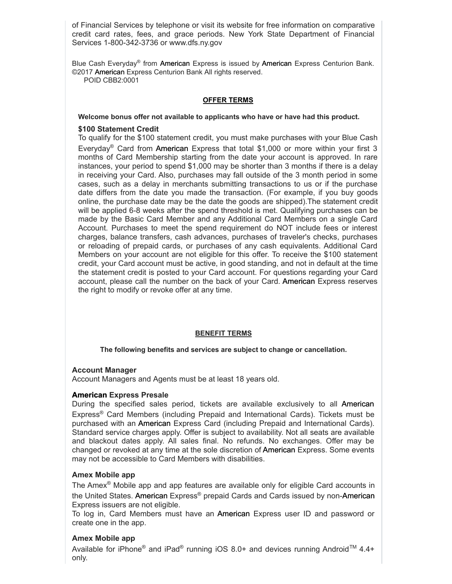of Financial Services by telephone or visit its website for free information on comparative credit card rates, fees, and grace periods. New York State Department of Financial Services 1-800-342-3736 or www.dfs.ny.gov

Blue Cash Everyday® from American Express is issued by American Express Centurion Bank. ©2017 American Express Centurion Bank All rights reserved. POID CBB2:0001

#### **OFFER TERMS**

#### **Welcome bonus offer not available to applicants who have or have had this product.**

#### **\$100 Statement Credit**

To qualify for the \$100 statement credit, you must make purchases with your Blue Cash Everyday<sup>®</sup> Card from American Express that total \$1,000 or more within your first 3 months of Card Membership starting from the date your account is approved. In rare instances, your period to spend \$1,000 may be shorter than 3 months if there is a delay in receiving your Card. Also, purchases may fall outside of the 3 month period in some cases, such as a delay in merchants submitting transactions to us or if the purchase date differs from the date you made the transaction. (For example, if you buy goods online, the purchase date may be the date the goods are shipped).The statement credit will be applied 6-8 weeks after the spend threshold is met. Qualifying purchases can be made by the Basic Card Member and any Additional Card Members on a single Card Account. Purchases to meet the spend requirement do NOT include fees or interest charges, balance transfers, cash advances, purchases of traveler's checks, purchases or reloading of prepaid cards, or purchases of any cash equivalents. Additional Card Members on your account are not eligible for this offer. To receive the \$100 statement credit, your Card account must be active, in good standing, and not in default at the time the statement credit is posted to your Card account. For questions regarding your Card account, please call the number on the back of your Card. American Express reserves the right to modify or revoke offer at any time.

#### **BENEFIT TERMS**

#### **The following benefits and services are subject to change or cancellation.**

#### **Account Manager**

Account Managers and Agents must be at least 18 years old.

#### **American Express Presale**

During the specified sales period, tickets are available exclusively to all American Express ® Card Members (including Prepaid and International Cards). Tickets must be purchased with an American Express Card (including Prepaid and International Cards). Standard service charges apply. Offer is subject to availability. Not all seats are available and blackout dates apply. All sales final. No refunds. No exchanges. Offer may be changed or revoked at any time at the sole discretion of American Express. Some events may not be accessible to Card Members with disabilities.

# **Amex Mobile app**

The Amex<sup>®</sup> Mobile app and app features are available only for eligible Card accounts in the United States. American Express® prepaid Cards and Cards issued by non-American Express issuers are not eligible.

To log in, Card Members must have an American Express user ID and password or create one in the app.

# **Amex Mobile app**

Available for iPhone® and iPad® running iOS 8.0+ and devices running Android<sup>™</sup> 4.4+ only.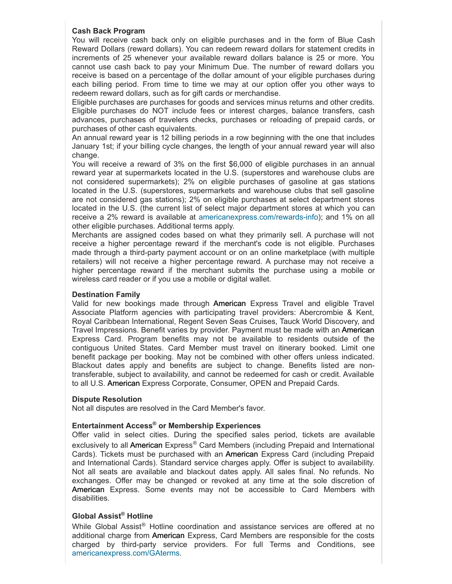# **Cash Back Program**

You will receive cash back only on eligible purchases and in the form of Blue Cash Reward Dollars (reward dollars). You can redeem reward dollars for statement credits in increments of 25 whenever your available reward dollars balance is 25 or more. You cannot use cash back to pay your Minimum Due. The number of reward dollars you receive is based on a percentage of the dollar amount of your eligible purchases during each billing period. From time to time we may at our option offer you other ways to redeem reward dollars, such as for gift cards or merchandise.

Eligible purchases are purchases for goods and services minus returns and other credits. Eligible purchases do NOT include fees or interest charges, balance transfers, cash advances, purchases of travelers checks, purchases or reloading of prepaid cards, or purchases of other cash equivalents.

An annual reward year is 12 billing periods in a row beginning with the one that includes January 1st; if your billing cycle changes, the length of your annual reward year will also change.

You will receive a reward of 3% on the first \$6,000 of eligible purchases in an annual reward year at supermarkets located in the U.S. (superstores and warehouse clubs are not considered supermarkets); 2% on eligible purchases of gasoline at gas stations located in the U.S. (superstores, supermarkets and warehouse clubs that sell gasoline are not considered gas stations); 2% on eligible purchases at select department stores located in the U.S. (the current list of select major department stores at which you can receive a 2% reward is available at americanexpress.com/rewards-info); and 1% on all other eligible purchases. Additional terms apply.

Merchants are assigned codes based on what they primarily sell. A purchase will not receive a higher percentage reward if the merchant's code is not eligible. Purchases made through a third-party payment account or on an online marketplace (with multiple retailers) will not receive a higher percentage reward. A purchase may not receive a higher percentage reward if the merchant submits the purchase using a mobile or wireless card reader or if you use a mobile or digital wallet.

#### **Destination Family**

Valid for new bookings made through American Express Travel and eligible Travel Associate Platform agencies with participating travel providers: Abercrombie & Kent, Royal Caribbean International, Regent Seven Seas Cruises, Tauck World Discovery, and Travel Impressions. Benefit varies by provider. Payment must be made with an American Express Card. Program benefits may not be available to residents outside of the contiguous United States. Card Member must travel on itinerary booked. Limit one benefit package per booking. May not be combined with other offers unless indicated. Blackout dates apply and benefits are subject to change. Benefits listed are nontransferable, subject to availability, and cannot be redeemed for cash or credit. Available to all U.S. American Express Corporate, Consumer, OPEN and Prepaid Cards.

# **Dispute Resolution**

Not all disputes are resolved in the Card Member's favor.

# **Entertainment Access ® or Membership Experiences**

Offer valid in select cities. During the specified sales period, tickets are available exclusively to all American Express® Card Members (including Prepaid and International Cards). Tickets must be purchased with an American Express Card (including Prepaid and International Cards). Standard service charges apply. Offer is subject to availability. Not all seats are available and blackout dates apply. All sales final. No refunds. No exchanges. Offer may be changed or revoked at any time at the sole discretion of American Express. Some events may not be accessible to Card Members with disabilities.

# **Global Assist ® Hotline**

While Global Assist<sup>®</sup> Hotline coordination and assistance services are offered at no additional charge from American Express, Card Members are responsible for the costs charged by third-party service providers. For full Terms and Conditions, see [americanexpress.com/GAterms](http://www.americanexpress.com/GAterms).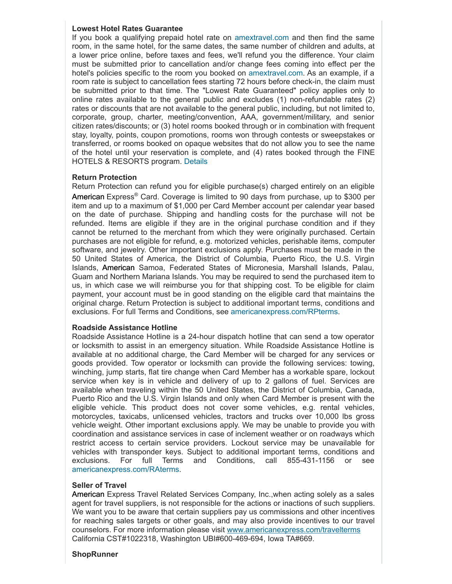#### **Lowest Hotel Rates Guarantee**

If you book a qualifying prepaid hotel rate on [amextravel.com](https://travel.americanexpress.com/home) and then find the same room, in the same hotel, for the same dates, the same number of children and adults, at a lower price online, before taxes and fees, we'll refund you the difference. Your claim must be submitted prior to cancellation and/or change fees coming into effect per the hotel's policies specific to the room you booked on [amextravel.com.](https://travel.americanexpress.com/home) As an example, if a room rate is subject to cancellation fees starting 72 hours before check-in, the claim must be submitted prior to that time. The "Lowest Rate Guaranteed" policy applies only to online rates available to the general public and excludes  $(1)$  non-refundable rates  $(2)$ rates or discounts that are not available to the general public, including, but not limited to, corporate, group, charter, meeting/convention, AAA, government/military, and senior citizen rates/discounts; or (3) hotel rooms booked through or in combination with frequent stay, loyalty, points, coupon promotions, rooms won through contests or sweepstakes or transferred, or rooms booked on opaque websites that do not allow you to see the name of the hotel until your reservation is complete, and (4) rates booked through the FINE HOTELS & RESORTS program. [Details](https://travel.americanexpress.com/home)

#### **Return Protection**

Return Protection can refund you for eligible purchase(s) charged entirely on an eligible American Express® Card. Coverage is limited to 90 days from purchase, up to \$300 per item and up to a maximum of \$1,000 per Card Member account per calendar year based on the date of purchase. Shipping and handling costs for the purchase will not be refunded. Items are eligible if they are in the original purchase condition and if they cannot be returned to the merchant from which they were originally purchased. Certain purchases are not eligible for refund, e.g. motorized vehicles, perishable items, computer software, and jewelry. Other important exclusions apply. Purchases must be made in the 50 United States of America, the District of Columbia, Puerto Rico, the U.S. Virgin Islands, American Samoa, Federated States of Micronesia, Marshall Islands, Palau, Guam and Northern Mariana Islands. You may be required to send the purchased item to us, in which case we will reimburse you for that shipping cost. To be eligible for claim payment, your account must be in good standing on the eligible card that maintains the original charge. Return Protection is subject to additional important terms, conditions and exclusions. For full Terms and Conditions, see [americanexpress.com/RPterms.](https://americanexpress.com/RPterms)

#### **Roadside Assistance Hotline**

Roadside Assistance Hotline is a 24hour dispatch hotline that can send a tow operator or locksmith to assist in an emergency situation. While Roadside Assistance Hotline is available at no additional charge, the Card Member will be charged for any services or goods provided. Tow operator or locksmith can provide the following services: towing, winching, jump starts, flat tire change when Card Member has a workable spare, lockout service when key is in vehicle and delivery of up to 2 gallons of fuel. Services are available when traveling within the 50 United States, the District of Columbia, Canada, Puerto Rico and the U.S. Virgin Islands and only when Card Member is present with the eligible vehicle. This product does not cover some vehicles, e.g. rental vehicles, motorcycles, taxicabs, unlicensed vehicles, tractors and trucks over 10,000 lbs gross vehicle weight. Other important exclusions apply. We may be unable to provide you with coordination and assistance services in case of inclement weather or on roadways which restrict access to certain service providers. Lockout service may be unavailable for vehicles with transponder keys. Subject to additional important terms, conditions and exclusions. For full Terms and Conditions, call 855-431-1156 or see [americanexpress.com/RAterms](https://americanexpress.com/RAterms).

#### **Seller of Travel**

American Express Travel Related Services Company, Inc.,when acting solely as a sales agent for travel suppliers, is not responsible for the actions or inactions of such suppliers. We want you to be aware that certain suppliers pay us commissions and other incentives for reaching sales targets or other goals, and may also provide incentives to our travel counselors. For more information please visit [www.americanexpress.com/travelterms](https://www.americanexpress.com/travelterms) California CST#1022318, Washington UBI#600-469-694, Iowa TA#669.

#### **ShopRunner**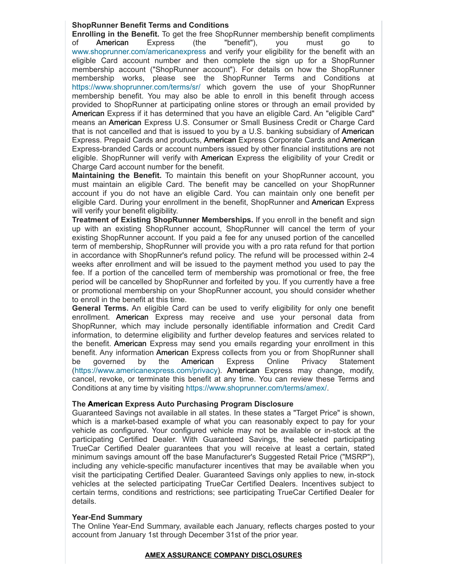# **ShopRunner Benefit Terms and Conditions**

**Enrolling in the Benefit.** To get the free ShopRunner membership benefit compliments of American Express (the "benefit"), you must go to [www.shoprunner.com/americanexpress](https://www.shoprunner.com/americanexpress) and verify your eligibility for the benefit with an eligible Card account number and then complete the sign up for a ShopRunner membership account ("ShopRunner account"). For details on how the ShopRunner membership works, please see the ShopRunner Terms and Conditions at <https://www.shoprunner.com/terms/sr/> which govern the use of your ShopRunner membership benefit. You may also be able to enroll in this benefit through access provided to ShopRunner at participating online stores or through an email provided by American Express if it has determined that you have an eligible Card. An "eligible Card" means an American Express U.S. Consumer or Small Business Credit or Charge Card that is not cancelled and that is issued to you by a U.S. banking subsidiary of American Express. Prepaid Cards and products, American Express Corporate Cards and American Express-branded Cards or account numbers issued by other financial institutions are not eligible. ShopRunner will verify with American Express the eligibility of your Credit or Charge Card account number for the benefit.

**Maintaining the Benefit.** To maintain this benefit on your ShopRunner account, you must maintain an eligible Card. The benefit may be cancelled on your ShopRunner account if you do not have an eligible Card. You can maintain only one benefit per eligible Card. During your enrollment in the benefit, ShopRunner and American Express will verify your benefit eligibility.

**Treatment of Existing ShopRunner Memberships.** If you enroll in the benefit and sign up with an existing ShopRunner account, ShopRunner will cancel the term of your existing ShopRunner account. If you paid a fee for any unused portion of the cancelled term of membership, ShopRunner will provide you with a pro rata refund for that portion in accordance with ShopRunner's refund policy. The refund will be processed within 24 weeks after enrollment and will be issued to the payment method you used to pay the fee. If a portion of the cancelled term of membership was promotional or free, the free period will be cancelled by ShopRunner and forfeited by you. If you currently have a free or promotional membership on your ShopRunner account, you should consider whether to enroll in the benefit at this time.

**General Terms.** An eligible Card can be used to verify eligibility for only one benefit enrollment. American Express may receive and use your personal data from ShopRunner, which may include personally identifiable information and Credit Card information, to determine eligibility and further develop features and services related to the benefit. American Express may send you emails regarding your enrollment in this benefit. Any information American Express collects from you or from ShopRunner shall be governed by the American Express Online Privacy Statement [\(https://www.americanexpress.com/privacy](https://www.americanexpress.com/privacy)). American Express may change, modify, cancel, revoke, or terminate this benefit at any time. You can review these Terms and Conditions at any time by visiting [https://www.shoprunner.com/terms/amex/.](https://www.shoprunner.com/terms/amex/)

# **The American Express Auto Purchasing Program Disclosure**

Guaranteed Savings not available in all states. In these states a "Target Price" is shown, which is a market-based example of what you can reasonably expect to pay for your vehicle as configured. Your configured vehicle may not be available or in-stock at the participating Certified Dealer. With Guaranteed Savings, the selected participating TrueCar Certified Dealer guarantees that you will receive at least a certain, stated minimum savings amount off the base Manufacturer's Suggested Retail Price ("MSRP"), including any vehicle-specific manufacturer incentives that may be available when you visit the participating Certified Dealer. Guaranteed Savings only applies to new, in-stock vehicles at the selected participating TrueCar Certified Dealers. Incentives subject to certain terms, conditions and restrictions; see participating TrueCar Certified Dealer for details.

# **Year-End Summary**

The Online Year-End Summary, available each January, reflects charges posted to your account from January 1st through December 31st of the prior year.

#### **AMEX ASSURANCE COMPANY DISCLOSURES**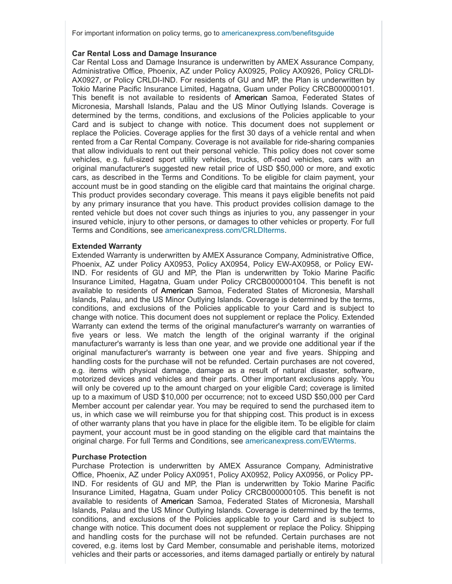For important information on policy terms, go to [americanexpress.com/benefitsguide](http://www.americanexpress.com/benefitsguide)

#### **Car Rental Loss and Damage Insurance**

Car Rental Loss and Damage Insurance is underwritten by AMEX Assurance Company, Administrative Office, Phoenix, AZ under Policy AX0925, Policy AX0926, Policy CRLDI-AX0927, or Policy CRLDI-IND. For residents of GU and MP, the Plan is underwritten by Tokio Marine Pacific Insurance Limited, Hagatna, Guam under Policy CRCB000000101. This benefit is not available to residents of American Samoa, Federated States of Micronesia, Marshall Islands, Palau and the US Minor Outlying Islands. Coverage is determined by the terms, conditions, and exclusions of the Policies applicable to your Card and is subject to change with notice. This document does not supplement or replace the Policies. Coverage applies for the first 30 days of a vehicle rental and when rented from a Car Rental Company. Coverage is not available for ride-sharing companies that allow individuals to rent out their personal vehicle. This policy does not cover some vehicles, e.g. full-sized sport utility vehicles, trucks, off-road vehicles, cars with an original manufacturer's suggested new retail price of USD \$50,000 or more, and exotic cars, as described in the Terms and Conditions. To be eligible for claim payment, your account must be in good standing on the eligible card that maintains the original charge. This product provides secondary coverage. This means it pays eligible benefits not paid by any primary insurance that you have. This product provides collision damage to the rented vehicle but does not cover such things as injuries to you, any passenger in your insured vehicle, injury to other persons, or damages to other vehicles or property. For full Terms and Conditions, see [americanexpress.com/CRLDIterms.](https://americanexpress.com/CRLDIterms)

#### **Extended Warranty**

Extended Warranty is underwritten by AMEX Assurance Company, Administrative Office, Phoenix, AZ under Policy AX0953, Policy AX0954, Policy EW-AX0958, or Policy EW-IND. For residents of GU and MP, the Plan is underwritten by Tokio Marine Pacific Insurance Limited, Hagatna, Guam under Policy CRCB000000104. This benefit is not available to residents of American Samoa, Federated States of Micronesia, Marshall Islands, Palau, and the US Minor Outlying Islands. Coverage is determined by the terms, conditions, and exclusions of the Policies applicable to your Card and is subject to change with notice. This document does not supplement or replace the Policy. Extended Warranty can extend the terms of the original manufacturer's warranty on warranties of five years or less. We match the length of the original warranty if the original manufacturer's warranty is less than one year, and we provide one additional year if the original manufacturer's warranty is between one year and five years. Shipping and handling costs for the purchase will not be refunded. Certain purchases are not covered, e.g. items with physical damage, damage as a result of natural disaster, software, motorized devices and vehicles and their parts. Other important exclusions apply. You will only be covered up to the amount charged on your eligible Card; coverage is limited up to a maximum of USD \$10,000 per occurrence; not to exceed USD \$50,000 per Card Member account per calendar year. You may be required to send the purchased item to us, in which case we will reimburse you for that shipping cost. This product is in excess of other warranty plans that you have in place for the eligible item. To be eligible for claim payment, your account must be in good standing on the eligible card that maintains the original charge. For full Terms and Conditions, see [americanexpress.com/EWterms.](https://americanexpress.com/EWterms)

#### **Purchase Protection**

Purchase Protection is underwritten by AMEX Assurance Company, Administrative Office, Phoenix, AZ under Policy AX0951, Policy AX0952, Policy AX0956, or Policy PP-IND. For residents of GU and MP, the Plan is underwritten by Tokio Marine Pacific Insurance Limited, Hagatna, Guam under Policy CRCB000000105. This benefit is not available to residents of American Samoa, Federated States of Micronesia, Marshall Islands, Palau and the US Minor Outlying Islands. Coverage is determined by the terms, conditions, and exclusions of the Policies applicable to your Card and is subject to change with notice. This document does not supplement or replace the Policy. Shipping and handling costs for the purchase will not be refunded. Certain purchases are not covered, e.g. items lost by Card Member, consumable and perishable items, motorized vehicles and their parts or accessories, and items damaged partially or entirely by natural